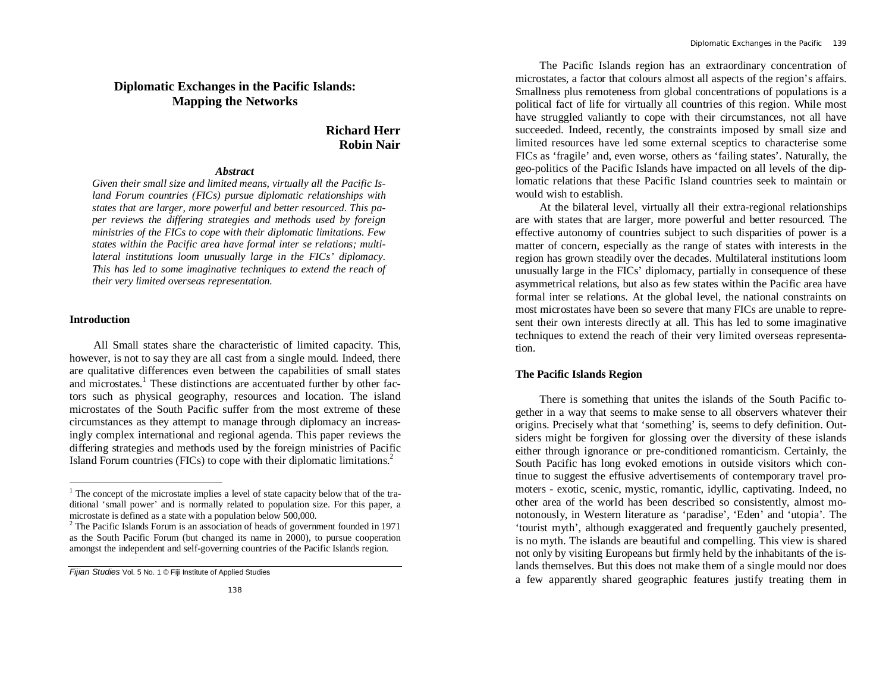# **Diplomatic Exchanges in the Pacific Islands: Mapping the Networks**

# **Richard Herr Robin Nair**

### *Abstract*

*Given their small size and limited means, virtually all the Pacific Island Forum countries (FICs) pursue diplomatic relationships with states that are larger, more powerful and better resourced. This paper reviews the differing strategies and methods used by foreign ministries of the FICs to cope with their diplomatic limitations. Few states within the Pacific area have formal inter se relations; multilateral institutions loom unusually large in the FICs' diplomacy. This has led to some imaginative techniques to extend the reach of their very limited overseas representation.*

### **Introduction**

-

All Small states share the characteristic of limited capacity. This, however, is not to say they are all cast from a single mould. Indeed, there are qualitative differences even between the capabilities of small states and microstates.<sup>1</sup> These distinctions are accentuated further by other factors such as physical geography, resources and location. The island microstates of the South Pacific suffer from the most extreme of these circumstances as they attempt to manage through diplomacy an increasingly complex international and regional agenda. This paper reviews the differing strategies and methods used by the foreign ministries of Pacific Island Forum countries (FICs) to cope with their diplomatic limitations.<sup>2</sup>

The Pacific Islands region has an extraordinary concentration of microstates, a factor that colours almost all aspects of the region's affairs. Smallness plus remoteness from global concentrations of populations is a political fact of life for virtually all countries of this region. While most have struggled valiantly to cope with their circumstances, not all have succeeded. Indeed, recently, the constraints imposed by small size and limited resources have led some external sceptics to characterise some FICs as 'fragile' and, even worse, others as 'failing states'. Naturally, the geo-politics of the Pacific Islands have impacted on all levels of the diplomatic relations that these Pacific Island countries seek to maintain or would wish to establish.

At the bilateral level, virtually all their extra-regional relationships are with states that are larger, more powerful and better resourced. The effective autonomy of countries subject to such disparities of power is a matter of concern, especially as the range of states with interests in the region has grown steadily over the decades. Multilateral institutions loom unusually large in the FICs' diplomacy, partially in consequence of these asymmetrical relations, but also as few states within the Pacific area have formal inter se relations. At the global level, the national constraints on most microstates have been so severe that many FICs are unable to represent their own interests directly at all. This has led to some imaginative techniques to extend the reach of their very limited overseas representation.

# **The Pacific Islands Region**

There is something that unites the islands of the South Pacific together in a way that seems to make sense to all observers whatever their origins. Precisely what that 'something' is, seems to defy definition. Outsiders might be forgiven for glossing over the diversity of these islands either through ignorance or pre-conditioned romanticism. Certainly, the South Pacific has long evoked emotions in outside visitors which continue to suggest the effusive advertisements of contemporary travel promoters - exotic, scenic, mystic, romantic, idyllic, captivating. Indeed, no other area of the world has been described so consistently, almost monotonously, in Western literature as 'paradise', 'Eden' and 'utopia'. The 'tourist myth', although exaggerated and frequently gauchely presented, is no myth. The islands are beautiful and compelling. This view is shared not only by visiting Europeans but firmly held by the inhabitants of the islands themselves. But this does not make them of a single mould nor does a few apparently shared geographic features justify treating them in

<sup>&</sup>lt;sup>1</sup> The concept of the microstate implies a level of state capacity below that of the traditional 'small power' and is normally related to population size. For this paper, a microstate is defined as a state with a population below 500,000.

<sup>&</sup>lt;sup>2</sup> The Pacific Islands Forum is an association of heads of government founded in 1971 as the South Pacific Forum (but changed its name in 2000), to pursue cooperation amongst the independent and self-governing countries of the Pacific Islands region.

*Fijian Studies* Vol. 5 No. 1 © Fiji Institute of Applied Studies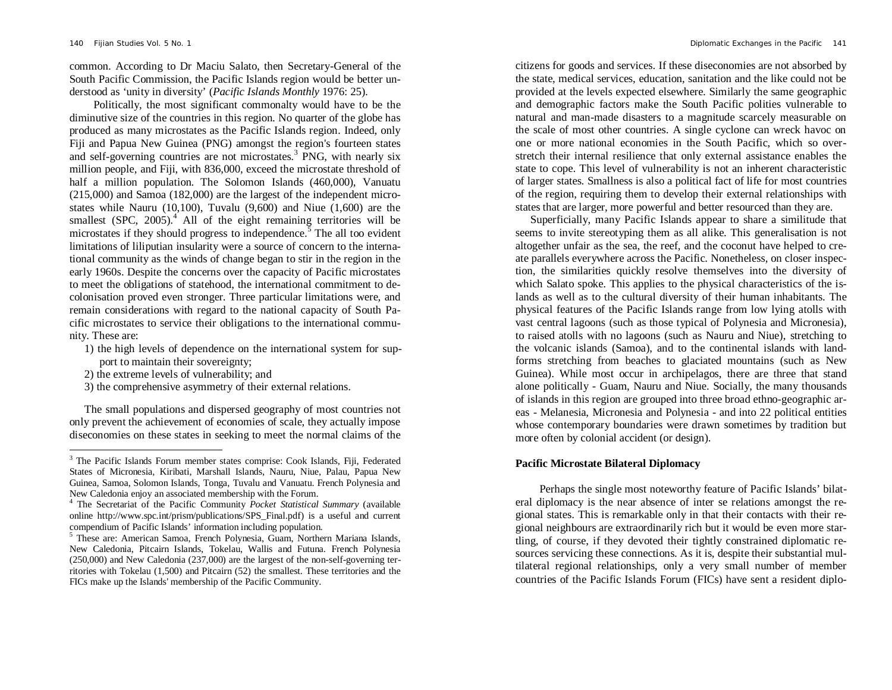common. According to Dr Maciu Salato, then Secretary-General of the South Pacific Commission, the Pacific Islands region would be better understood as 'unity in diversity' (*Pacific Islands Monthly* 1976: 25).

Politically, the most significant commonalty would have to be the diminutive size of the countries in this region. No quarter of the globe has produced as many microstates as the Pacific Islands region. Indeed, only Fiji and Papua New Guinea (PNG) amongst the region's fourteen states and self-governing countries are not microstates.<sup>3</sup> PNG, with nearly six million people, and Fiji, with 836,000, exceed the microstate threshold of half a million population. The Solomon Islands (460,000), Vanuatu (215,000) and Samoa (182,000) are the largest of the independent microstates while Nauru (10,100), Tuvalu (9,600) and Niue (1,600) are the smallest (SPC,  $2005$ ).<sup>4</sup> All of the eight remaining territories will be microstates if they should progress to independence.<sup>5</sup> The all too evident limitations of liliputian insularity were a source of concern to the international community as the winds of change began to stir in the region in the early 1960s. Despite the concerns over the capacity of Pacific microstates to meet the obligations of statehood, the international commitment to decolonisation proved even stronger. Three particular limitations were, and remain considerations with regard to the national capacity of South Pacific microstates to service their obligations to the international community. These are:

- 1) the high levels of dependence on the international system for support to maintain their sovereignty;
- 2) the extreme levels of vulnerability; and

j

3) the comprehensive asymmetry of their external relations.

The small populations and dispersed geography of most countries not only prevent the achievement of economies of scale, they actually impose diseconomies on these states in seeking to meet the normal claims of the citizens for goods and services. If these diseconomies are not absorbed by the state, medical services, education, sanitation and the like could not be provided at the levels expected elsewhere. Similarly the same geographic and demographic factors make the South Pacific polities vulnerable to natural and man-made disasters to a magnitude scarcely measurable on the scale of most other countries. A single cyclone can wreck havoc on one or more national economies in the South Pacific, which so overstretch their internal resilience that only external assistance enables the state to cope. This level of vulnerability is not an inherent characteristic of larger states. Smallness is also a political fact of life for most countries of the region, requiring them to develop their external relationships with states that are larger, more powerful and better resourced than they are.

Superficially, many Pacific Islands appear to share a similitude that seems to invite stereotyping them as all alike. This generalisation is not altogether unfair as the sea, the reef, and the coconut have helped to create parallels everywhere across the Pacific. Nonetheless, on closer inspection, the similarities quickly resolve themselves into the diversity of which Salato spoke. This applies to the physical characteristics of the islands as well as to the cultural diversity of their human inhabitants. The physical features of the Pacific Islands range from low lying atolls with vast central lagoons (such as those typical of Polynesia and Micronesia), to raised atolls with no lagoons (such as Nauru and Niue), stretching to the volcanic islands (Samoa), and to the continental islands with landforms stretching from beaches to glaciated mountains (such as New Guinea). While most occur in archipelagos, there are three that stand alone politically - Guam, Nauru and Niue. Socially, the many thousands of islands in this region are grouped into three broad ethno-geographic areas - Melanesia, Micronesia and Polynesia - and into 22 political entities whose contemporary boundaries were drawn sometimes by tradition but more often by colonial accident (or design).

# **Pacific Microstate Bilateral Diplomacy**

Perhaps the single most noteworthy feature of Pacific Islands' bilateral diplomacy is the near absence of inter se relations amongst the regional states. This is remarkable only in that their contacts with their regional neighbours are extraordinarily rich but it would be even more startling, of course, if they devoted their tightly constrained diplomatic resources servicing these connections. As it is, despite their substantial multilateral regional relationships, only a very small number of member countries of the Pacific Islands Forum (FICs) have sent a resident diplo-

<sup>&</sup>lt;sup>3</sup> The Pacific Islands Forum member states comprise: Cook Islands, Fiji, Federated States of Micronesia, Kiribati, Marshall Islands, Nauru, Niue, Palau, Papua New Guinea, Samoa, Solomon Islands, Tonga, Tuvalu and Vanuatu. French Polynesia and New Caledonia enjoy an associated membership with the Forum.

<sup>4</sup> The Secretariat of the Pacific Community *Pocket Statistical Summary* (available online http://www.spc.int/prism/publications/SPS\_Final.pdf) is a useful and current compendium of Pacific Islands' information including population.

<sup>5</sup> These are: American Samoa, French Polynesia, Guam, Northern Mariana Islands, New Caledonia, Pitcairn Islands, Tokelau, Wallis and Futuna. French Polynesia (250,000) and New Caledonia (237,000) are the largest of the non-self-governing territories with Tokelau (1,500) and Pitcairn (52) the smallest. These territories and the FICs make up the Islands' membership of the Pacific Community.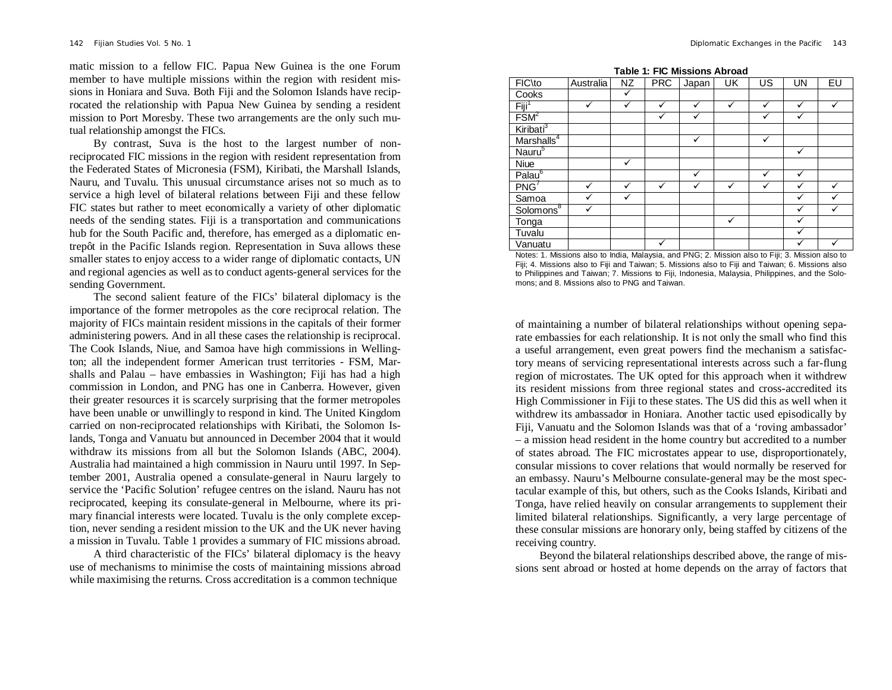matic mission to a fellow FIC. Papua New Guinea is the one Forum member to have multiple missions within the region with resident missions in Honiara and Suva. Both Fiji and the Solomon Islands have reciprocated the relationship with Papua New Guinea by sending a resident mission to Port Moresby. These two arrangements are the only such mutual relationship amongst the FICs.

By contrast, Suva is the host to the largest number of nonreciprocated FIC missions in the region with resident representation from the Federated States of Micronesia (FSM), Kiribati, the Marshall Islands, Nauru, and Tuvalu. This unusual circumstance arises not so much as to service a high level of bilateral relations between Fiji and these fellow FIC states but rather to meet economically a variety of other diplomatic needs of the sending states. Fiji is a transportation and communications hub for the South Pacific and, therefore, has emerged as a diplomatic entrepôt in the Pacific Islands region. Representation in Suva allows these smaller states to enjoy access to a wider range of diplomatic contacts, UN and regional agencies as well as to conduct agents-general services for the sending Government.

The second salient feature of the FICs' bilateral diplomacy is the importance of the former metropoles as the core reciprocal relation. The majority of FICs maintain resident missions in the capitals of their former administering powers. And in all these cases the relationship is reciprocal. The Cook Islands, Niue, and Samoa have high commissions in Wellington; all the independent former American trust territories - FSM, Marshalls and Palau – have embassies in Washington; Fiji has had a high commission in London, and PNG has one in Canberra. However, given their greater resources it is scarcely surprising that the former metropoles have been unable or unwillingly to respond in kind. The United Kingdom carried on non-reciprocated relationships with Kiribati, the Solomon Islands, Tonga and Vanuatu but announced in December 2004 that it would withdraw its missions from all but the Solomon Islands (ABC, 2004). Australia had maintained a high commission in Nauru until 1997. In September 2001, Australia opened a consulate-general in Nauru largely to service the 'Pacific Solution' refugee centres on the island. Nauru has not reciprocated, keeping its consulate-general in Melbourne, where its primary financial interests were located. Tuvalu is the only complete exception, never sending a resident mission to the UK and the UK never having a mission in Tuvalu. Table 1 provides a summary of FIC missions abroad.

A third characteristic of the FICs' bilateral diplomacy is the heavy use of mechanisms to minimise the costs of maintaining missions abroad while maximising the returns. Cross accreditation is a common technique

**Table 1: FIC Missions Abroad**

| FIC\to                 | Australia | ΝZ | <b>PRC</b> | Japan | UK | US | UN | EU |
|------------------------|-----------|----|------------|-------|----|----|----|----|
| Cooks                  |           |    |            |       |    |    |    |    |
| Fiji <sup>1</sup>      |           |    |            | ✓     | ✓  |    |    | v  |
| FSM <sup>2</sup>       |           |    |            |       |    |    |    |    |
| Kiribati <sup>3</sup>  |           |    |            |       |    |    |    |    |
| Marshalls <sup>4</sup> |           |    |            | ✓     |    |    |    |    |
| Nauru <sup>5</sup>     |           |    |            |       |    |    | v  |    |
| <b>Niue</b>            |           |    |            |       |    |    |    |    |
| Palau <sup>6</sup>     |           |    |            | ✓     |    |    |    |    |
| PNG'                   |           |    |            |       |    |    |    |    |
| Samoa                  |           |    |            |       |    |    |    |    |
| Solomons <sup>8</sup>  |           |    |            |       |    |    |    |    |
| Tonga                  |           |    |            |       | ✓  |    |    |    |
| Tuvalu                 |           |    |            |       |    |    |    |    |
| Vanuatu                |           |    |            |       |    |    |    |    |

Notes: 1. Missions also to India, Malaysia, and PNG; 2. Mission also to Fiji; 3. Mission also to Fiji; 4. Missions also to Fiji and Taiwan; 5. Missions also to Fiji and Taiwan; 6. Missions also to Philippines and Taiwan; 7. Missions to Fiji, Indonesia, Malaysia, Philippines, and the Solomons; and 8. Missions also to PNG and Taiwan.

of maintaining a number of bilateral relationships without opening separate embassies for each relationship. It is not only the small who find this a useful arrangement, even great powers find the mechanism a satisfactory means of servicing representational interests across such a far-flung region of microstates. The UK opted for this approach when it withdrew its resident missions from three regional states and cross-accredited its High Commissioner in Fiji to these states. The US did this as well when it withdrew its ambassador in Honiara. Another tactic used episodically by Fiji, Vanuatu and the Solomon Islands was that of a 'roving ambassador' – a mission head resident in the home country but accredited to a number of states abroad. The FIC microstates appear to use, disproportionately, consular missions to cover relations that would normally be reserved for an embassy. Nauru's Melbourne consulate-general may be the most spectacular example of this, but others, such as the Cooks Islands, Kiribati and Tonga, have relied heavily on consular arrangements to supplement their limited bilateral relationships. Significantly, a very large percentage of these consular missions are honorary only, being staffed by citizens of the receiving country.

Beyond the bilateral relationships described above, the range of missions sent abroad or hosted at home depends on the array of factors that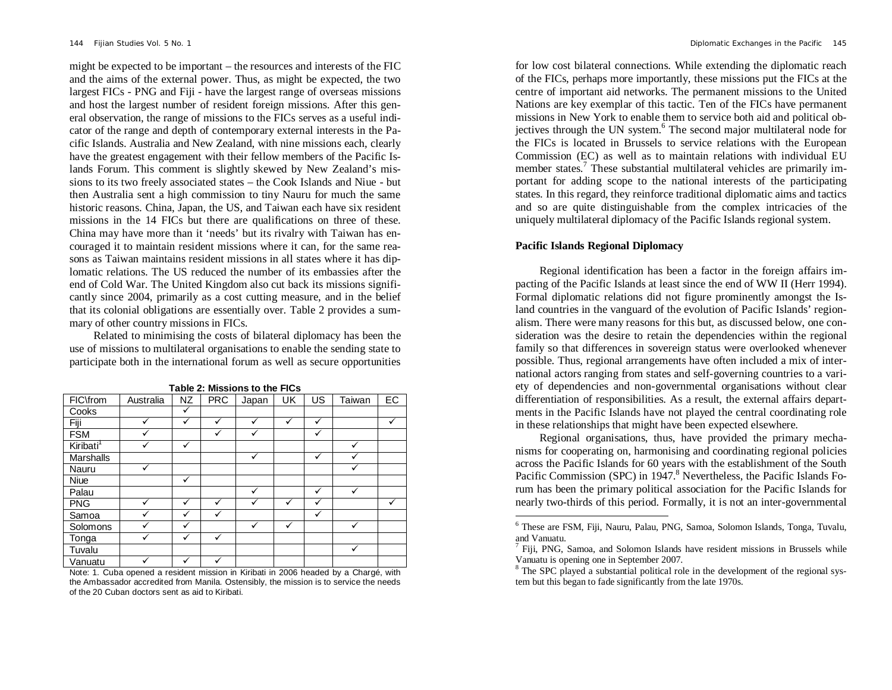might be expected to be important – the resources and interests of the FIC and the aims of the external power. Thus, as might be expected, the two largest FICs - PNG and Fiji - have the largest range of overseas missions and host the largest number of resident foreign missions. After this general observation, the range of missions to the FICs serves as a useful indicator of the range and depth of contemporary external interests in the Pacific Islands. Australia and New Zealand, with nine missions each, clearly have the greatest engagement with their fellow members of the Pacific Islands Forum. This comment is slightly skewed by New Zealand's missions to its two freely associated states – the Cook Islands and Niue - but then Australia sent a high commission to tiny Nauru for much the same historic reasons. China, Japan, the US, and Taiwan each have six resident missions in the 14 FICs but there are qualifications on three of these. China may have more than it 'needs' but its rivalry with Taiwan has encouraged it to maintain resident missions where it can, for the same reasons as Taiwan maintains resident missions in all states where it has diplomatic relations. The US reduced the number of its embassies after the end of Cold War. The United Kingdom also cut back its missions significantly since 2004, primarily as a cost cutting measure, and in the belief that its colonial obligations are essentially over. Table 2 provides a summary of other country missions in FICs.

Related to minimising the costs of bilateral diplomacy has been the use of missions to multilateral organisations to enable the sending state to participate both in the international forum as well as secure opportunities

| FIC\from              | Australia | <b>NZ</b>    | <b>PRC</b> | Japan | UK           | US | Taiwan | EC |
|-----------------------|-----------|--------------|------------|-------|--------------|----|--------|----|
| Cooks                 |           | ✓            |            |       |              |    |        |    |
| Fiji                  |           | ✓            |            |       | ✓            | ✓  |        |    |
| <b>FSM</b>            |           |              |            |       |              | ✓  |        |    |
| Kiribati <sup>1</sup> |           | ✓            |            |       |              |    |        |    |
| <b>Marshalls</b>      |           |              |            |       |              | ✓  |        |    |
| Nauru                 |           |              |            |       |              |    |        |    |
| Niue                  |           | ✓            |            |       |              |    |        |    |
| Palau                 |           |              |            |       |              | ✓  |        |    |
| <b>PNG</b>            |           | $\checkmark$ | ✓          |       | $\checkmark$ | ✓  |        |    |
| Samoa                 |           |              |            |       |              | ✓  |        |    |
| Solomons              |           | $\checkmark$ |            |       |              |    |        |    |
| Tonga                 |           |              |            |       |              |    |        |    |
| Tuvalu                |           |              |            |       |              |    |        |    |
| Vanuatu               |           |              |            |       |              |    |        |    |

**Table 2: Missions to the FICs**

Note: 1. Cuba opened a resident mission in Kiribati in 2006 headed by a Chargé, with the Ambassador accredited from Manila. Ostensibly, the mission is to service the needs of the 20 Cuban doctors sent as aid to Kiribati.

for low cost bilateral connections. While extending the diplomatic reach of the FICs, perhaps more importantly, these missions put the FICs at the centre of important aid networks. The permanent missions to the United Nations are key exemplar of this tactic. Ten of the FICs have permanent missions in New York to enable them to service both aid and political objectives through the UN system.<sup>6</sup> The second major multilateral node for the FICs is located in Brussels to service relations with the European Commission (EC) as well as to maintain relations with individual EU member states.<sup>7</sup> These substantial multilateral vehicles are primarily important for adding scope to the national interests of the participating states. In this regard, they reinforce traditional diplomatic aims and tactics and so are quite distinguishable from the complex intricacies of the uniquely multilateral diplomacy of the Pacific Islands regional system.

#### **Pacific Islands Regional Diplomacy**

l

Regional identification has been a factor in the foreign affairs impacting of the Pacific Islands at least since the end of WW II (Herr 1994). Formal diplomatic relations did not figure prominently amongst the Island countries in the vanguard of the evolution of Pacific Islands' regionalism. There were many reasons for this but, as discussed below, one consideration was the desire to retain the dependencies within the regional family so that differences in sovereign status were overlooked whenever possible. Thus, regional arrangements have often included a mix of international actors ranging from states and self-governing countries to a variety of dependencies and non-governmental organisations without clear differentiation of responsibilities. As a result, the external affairs departments in the Pacific Islands have not played the central coordinating role in these relationships that might have been expected elsewhere.

Regional organisations, thus, have provided the primary mechanisms for cooperating on, harmonising and coordinating regional policies across the Pacific Islands for 60 years with the establishment of the South Pacific Commission (SPC) in 1947.<sup>8</sup> Nevertheless, the Pacific Islands Forum has been the primary political association for the Pacific Islands for nearly two-thirds of this period. Formally, it is not an inter-governmental

<sup>6</sup> These are FSM, Fiji, Nauru, Palau, PNG, Samoa, Solomon Islands, Tonga, Tuvalu, and Vanuatu.

<sup>&</sup>lt;sup>7</sup> Fiji, PNG, Samoa, and Solomon Islands have resident missions in Brussels while Vanuatu is opening one in September 2007.

<sup>&</sup>lt;sup>8</sup> The SPC played a substantial political role in the development of the regional system but this began to fade significantly from the late 1970s.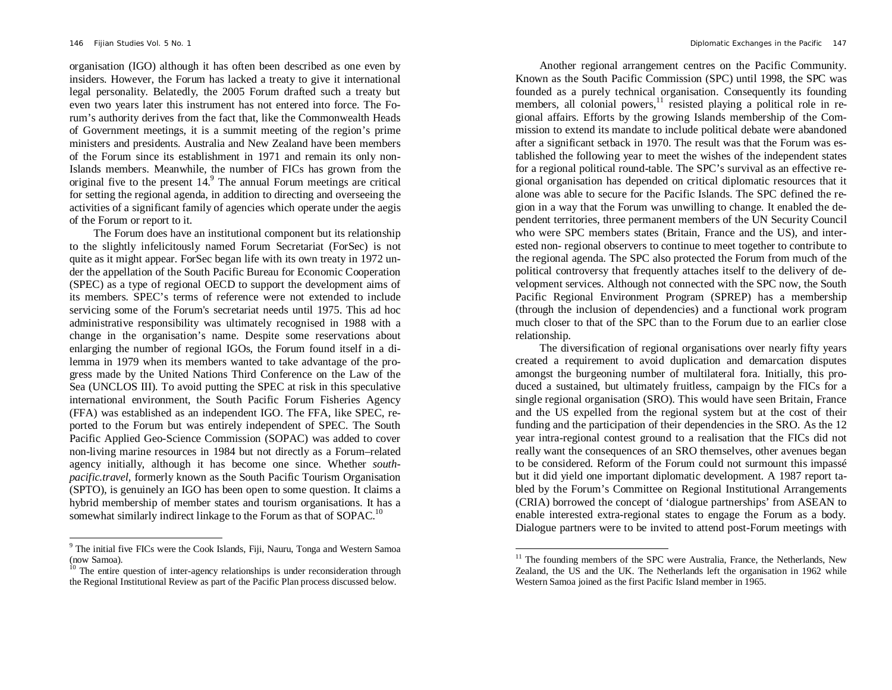$\overline{a}$ 

organisation (IGO) although it has often been described as one even by insiders. However, the Forum has lacked a treaty to give it international legal personality. Belatedly, the 2005 Forum drafted such a treaty but even two years later this instrument has not entered into force. The Forum's authority derives from the fact that, like the Commonwealth Heads of Government meetings, it is a summit meeting of the region's prime ministers and presidents. Australia and New Zealand have been members of the Forum since its establishment in 1971 and remain its only non-Islands members. Meanwhile, the number of FICs has grown from the original five to the present  $14<sup>9</sup>$  The annual Forum meetings are critical for setting the regional agenda, in addition to directing and overseeing the activities of a significant family of agencies which operate under the aegis of the Forum or report to it.

The Forum does have an institutional component but its relationship to the slightly infelicitously named Forum Secretariat (ForSec) is not quite as it might appear. ForSec began life with its own treaty in 1972 under the appellation of the South Pacific Bureau for Economic Cooperation (SPEC) as a type of regional OECD to support the development aims of its members. SPEC's terms of reference were not extended to include servicing some of the Forum's secretariat needs until 1975. This ad hoc administrative responsibility was ultimately recognised in 1988 with a change in the organisation's name. Despite some reservations about enlarging the number of regional IGOs, the Forum found itself in a dilemma in 1979 when its members wanted to take advantage of the progress made by the United Nations Third Conference on the Law of the Sea (UNCLOS III). To avoid putting the SPEC at risk in this speculative international environment, the South Pacific Forum Fisheries Agency (FFA) was established as an independent IGO. The FFA, like SPEC, reported to the Forum but was entirely independent of SPEC. The South Pacific Applied Geo-Science Commission (SOPAC) was added to cover non-living marine resources in 1984 but not directly as a Forum–related agency initially, although it has become one since. Whether *southpacific.travel*, formerly known as the South Pacific Tourism Organisation (SPTO), is genuinely an IGO has been open to some question. It claims a hybrid membership of member states and tourism organisations. It has a somewhat similarly indirect linkage to the Forum as that of SOPAC.<sup>10</sup>

Another regional arrangement centres on the Pacific Community. Known as the South Pacific Commission (SPC) until 1998, the SPC was founded as a purely technical organisation. Consequently its founding members, all colonial powers, $\frac{11}{11}$  resisted playing a political role in regional affairs. Efforts by the growing Islands membership of the Commission to extend its mandate to include political debate were abandoned after a significant setback in 1970. The result was that the Forum was established the following year to meet the wishes of the independent states for a regional political round-table. The SPC's survival as an effective regional organisation has depended on critical diplomatic resources that it alone was able to secure for the Pacific Islands. The SPC defined the region in a way that the Forum was unwilling to change. It enabled the dependent territories, three permanent members of the UN Security Council who were SPC members states (Britain, France and the US), and interested non- regional observers to continue to meet together to contribute to the regional agenda. The SPC also protected the Forum from much of the political controversy that frequently attaches itself to the delivery of development services. Although not connected with the SPC now, the South Pacific Regional Environment Program (SPREP) has a membership (through the inclusion of dependencies) and a functional work program much closer to that of the SPC than to the Forum due to an earlier close relationship.

The diversification of regional organisations over nearly fifty years created a requirement to avoid duplication and demarcation disputes amongst the burgeoning number of multilateral fora. Initially, this produced a sustained, but ultimately fruitless, campaign by the FICs for a single regional organisation (SRO). This would have seen Britain, France and the US expelled from the regional system but at the cost of their funding and the participation of their dependencies in the SRO. As the 12 year intra-regional contest ground to a realisation that the FICs did not really want the consequences of an SRO themselves, other avenues began to be considered. Reform of the Forum could not surmount this impassé but it did yield one important diplomatic development. A 1987 report tabled by the Forum's Committee on Regional Institutional Arrangements (CRIA) borrowed the concept of 'dialogue partnerships' from ASEAN to enable interested extra-regional states to engage the Forum as a body. Dialogue partners were to be invited to attend post-Forum meetings with

j

<sup>&</sup>lt;sup>9</sup> The initial five FICs were the Cook Islands, Fiji, Nauru, Tonga and Western Samoa (now Samoa).

 $10<sup>10</sup>$  The entire question of inter-agency relationships is under reconsideration through the Regional Institutional Review as part of the Pacific Plan process discussed below.

<sup>&</sup>lt;sup>11</sup> The founding members of the SPC were Australia, France, the Netherlands, New Zealand, the US and the UK. The Netherlands left the organisation in 1962 while Western Samoa joined as the first Pacific Island member in 1965.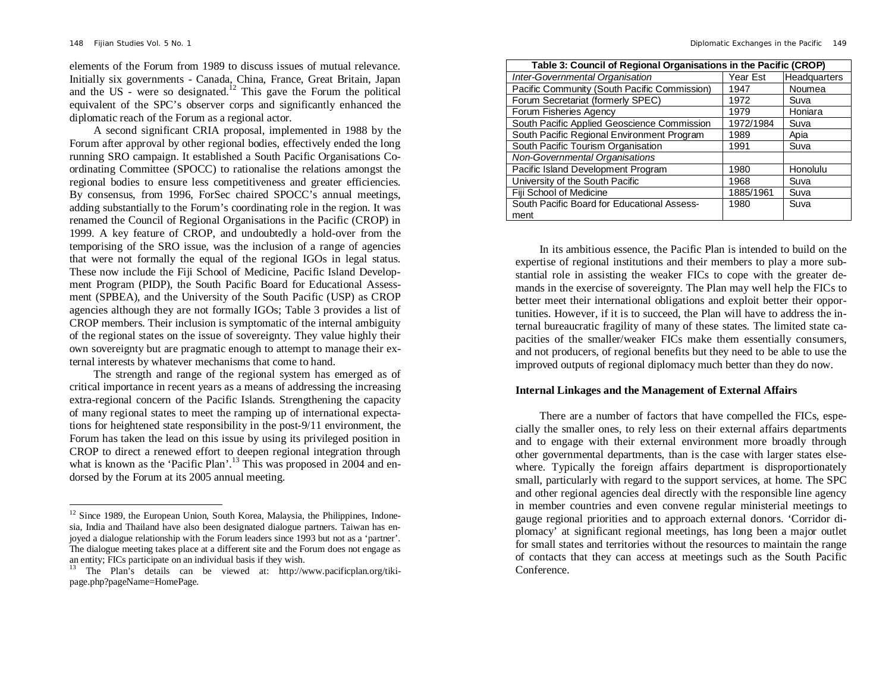-

elements of the Forum from 1989 to discuss issues of mutual relevance. Initially six governments - Canada, China, France, Great Britain, Japan and the US - were so designated.<sup>12</sup> This gave the Forum the political equivalent of the SPC's observer corps and significantly enhanced the diplomatic reach of the Forum as a regional actor.

A second significant CRIA proposal, implemented in 1988 by the Forum after approval by other regional bodies, effectively ended the long running SRO campaign. It established a South Pacific Organisations Coordinating Committee (SPOCC) to rationalise the relations amongst the regional bodies to ensure less competitiveness and greater efficiencies. By consensus, from 1996, ForSec chaired SPOCC's annual meetings, adding substantially to the Forum's coordinating role in the region. It was renamed the Council of Regional Organisations in the Pacific (CROP) in 1999. A key feature of CROP, and undoubtedly a hold-over from the temporising of the SRO issue, was the inclusion of a range of agencies that were not formally the equal of the regional IGOs in legal status. These now include the Fiji School of Medicine, Pacific Island Development Program (PIDP), the South Pacific Board for Educational Assessment (SPBEA), and the University of the South Pacific (USP) as CROP agencies although they are not formally IGOs; Table 3 provides a list of CROP members. Their inclusion is symptomatic of the internal ambiguity of the regional states on the issue of sovereignty. They value highly their own sovereignty but are pragmatic enough to attempt to manage their external interests by whatever mechanisms that come to hand.

The strength and range of the regional system has emerged as of critical importance in recent years as a means of addressing the increasing extra-regional concern of the Pacific Islands. Strengthening the capacity of many regional states to meet the ramping up of international expectations for heightened state responsibility in the post-9/11 environment, the Forum has taken the lead on this issue by using its privileged position in CROP to direct a renewed effort to deepen regional integration through what is known as the 'Pacific Plan'.<sup>13</sup> This was proposed in 2004 and endorsed by the Forum at its 2005 annual meeting.

| Table 3: Council of Regional Organisations in the Pacific (CROP) |           |              |  |  |  |  |
|------------------------------------------------------------------|-----------|--------------|--|--|--|--|
| Inter-Governmental Organisation                                  | Year Est  | Headquarters |  |  |  |  |
| Pacific Community (South Pacific Commission)                     | 1947      | Noumea       |  |  |  |  |
| Forum Secretariat (formerly SPEC)                                | 1972      | Suva         |  |  |  |  |
| Forum Fisheries Agency                                           | 1979      | Honiara      |  |  |  |  |
| South Pacific Applied Geoscience Commission                      | 1972/1984 | Suva         |  |  |  |  |
| South Pacific Regional Environment Program                       | 1989      | Apia         |  |  |  |  |
| South Pacific Tourism Organisation                               | 1991      | Suva         |  |  |  |  |
| Non-Governmental Organisations                                   |           |              |  |  |  |  |
| Pacific Island Development Program                               | 1980      | Honolulu     |  |  |  |  |
| University of the South Pacific                                  | 1968      | Suva         |  |  |  |  |
| Fiji School of Medicine                                          | 1885/1961 | Suva         |  |  |  |  |
| South Pacific Board for Educational Assess-                      | 1980      | Suva         |  |  |  |  |
| ment                                                             |           |              |  |  |  |  |

In its ambitious essence, the Pacific Plan is intended to build on the expertise of regional institutions and their members to play a more substantial role in assisting the weaker FICs to cope with the greater demands in the exercise of sovereignty. The Plan may well help the FICs to better meet their international obligations and exploit better their opportunities. However, if it is to succeed, the Plan will have to address the internal bureaucratic fragility of many of these states. The limited state capacities of the smaller/weaker FICs make them essentially consumers, and not producers, of regional benefits but they need to be able to use the improved outputs of regional diplomacy much better than they do now.

### **Internal Linkages and the Management of External Affairs**

There are a number of factors that have compelled the FICs, especially the smaller ones, to rely less on their external affairs departments and to engage with their external environment more broadly through other governmental departments, than is the case with larger states elsewhere. Typically the foreign affairs department is disproportionately small, particularly with regard to the support services, at home. The SPC and other regional agencies deal directly with the responsible line agency in member countries and even convene regular ministerial meetings to gauge regional priorities and to approach external donors. 'Corridor diplomacy' at significant regional meetings, has long been a major outlet for small states and territories without the resources to maintain the range of contacts that they can access at meetings such as the South Pacific Conference.

 $12$  Since 1989, the European Union, South Korea, Malaysia, the Philippines, Indonesia, India and Thailand have also been designated dialogue partners. Taiwan has enjoyed a dialogue relationship with the Forum leaders since 1993 but not as a 'partner'. The dialogue meeting takes place at a different site and the Forum does not engage as an entity; FICs participate on an individual basis if they wish.

<sup>13</sup> The Plan's details can be viewed at: http://www.pacificplan.org/tikipage.php?pageName=HomePage.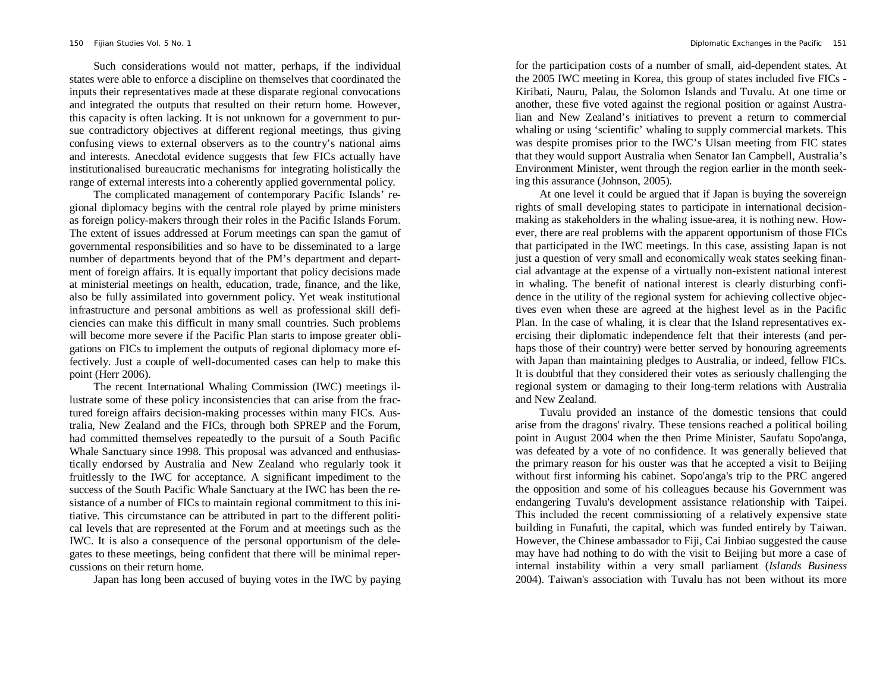Such considerations would not matter, perhaps, if the individual states were able to enforce a discipline on themselves that coordinated the inputs their representatives made at these disparate regional convocations and integrated the outputs that resulted on their return home. However, this capacity is often lacking. It is not unknown for a government to pursue contradictory objectives at different regional meetings, thus giving confusing views to external observers as to the country's national aims and interests. Anecdotal evidence suggests that few FICs actually have institutionalised bureaucratic mechanisms for integrating holistically the range of external interests into a coherently applied governmental policy.

The complicated management of contemporary Pacific Islands' regional diplomacy begins with the central role played by prime ministers as foreign policy-makers through their roles in the Pacific Islands Forum. The extent of issues addressed at Forum meetings can span the gamut of governmental responsibilities and so have to be disseminated to a large number of departments beyond that of the PM's department and department of foreign affairs. It is equally important that policy decisions made at ministerial meetings on health, education, trade, finance, and the like, also be fully assimilated into government policy. Yet weak institutional infrastructure and personal ambitions as well as professional skill deficiencies can make this difficult in many small countries. Such problems will become more severe if the Pacific Plan starts to impose greater obligations on FICs to implement the outputs of regional diplomacy more effectively. Just a couple of well-documented cases can help to make this point (Herr 2006).

The recent International Whaling Commission (IWC) meetings illustrate some of these policy inconsistencies that can arise from the fractured foreign affairs decision-making processes within many FICs. Australia, New Zealand and the FICs, through both SPREP and the Forum, had committed themselves repeatedly to the pursuit of a South Pacific Whale Sanctuary since 1998. This proposal was advanced and enthusiastically endorsed by Australia and New Zealand who regularly took it fruitlessly to the IWC for acceptance. A significant impediment to the success of the South Pacific Whale Sanctuary at the IWC has been the resistance of a number of FICs to maintain regional commitment to this initiative. This circumstance can be attributed in part to the different political levels that are represented at the Forum and at meetings such as the IWC. It is also a consequence of the personal opportunism of the delegates to these meetings, being confident that there will be minimal repercussions on their return home.

Japan has long been accused of buying votes in the IWC by paying

for the participation costs of a number of small, aid-dependent states. At the 2005 IWC meeting in Korea, this group of states included five FICs - Kiribati, Nauru, Palau, the Solomon Islands and Tuvalu. At one time or another, these five voted against the regional position or against Australian and New Zealand's initiatives to prevent a return to commercial whaling or using 'scientific' whaling to supply commercial markets. This was despite promises prior to the IWC's Ulsan meeting from FIC states that they would support Australia when Senator Ian Campbell, Australia's Environment Minister, went through the region earlier in the month seeking this assurance (Johnson, 2005).

At one level it could be argued that if Japan is buying the sovereign rights of small developing states to participate in international decisionmaking as stakeholders in the whaling issue-area, it is nothing new. However, there are real problems with the apparent opportunism of those FICs that participated in the IWC meetings. In this case, assisting Japan is not just a question of very small and economically weak states seeking financial advantage at the expense of a virtually non-existent national interest in whaling. The benefit of national interest is clearly disturbing confidence in the utility of the regional system for achieving collective objectives even when these are agreed at the highest level as in the Pacific Plan. In the case of whaling, it is clear that the Island representatives exercising their diplomatic independence felt that their interests (and perhaps those of their country) were better served by honouring agreements with Japan than maintaining pledges to Australia, or indeed, fellow FICs. It is doubtful that they considered their votes as seriously challenging the regional system or damaging to their long-term relations with Australia and New Zealand.

Tuvalu provided an instance of the domestic tensions that could arise from the dragons' rivalry. These tensions reached a political boiling point in August 2004 when the then Prime Minister, Saufatu Sopo'anga, was defeated by a vote of no confidence. It was generally believed that the primary reason for his ouster was that he accepted a visit to Beijing without first informing his cabinet. Sopo'anga's trip to the PRC angered the opposition and some of his colleagues because his Government was endangering Tuvalu's development assistance relationship with Taipei. This included the recent commissioning of a relatively expensive state building in Funafuti, the capital, which was funded entirely by Taiwan. However, the Chinese ambassador to Fiji, Cai Jinbiao suggested the cause may have had nothing to do with the visit to Beijing but more a case of internal instability within a very small parliament (*Islands Business* 2004). Taiwan's association with Tuvalu has not been without its more